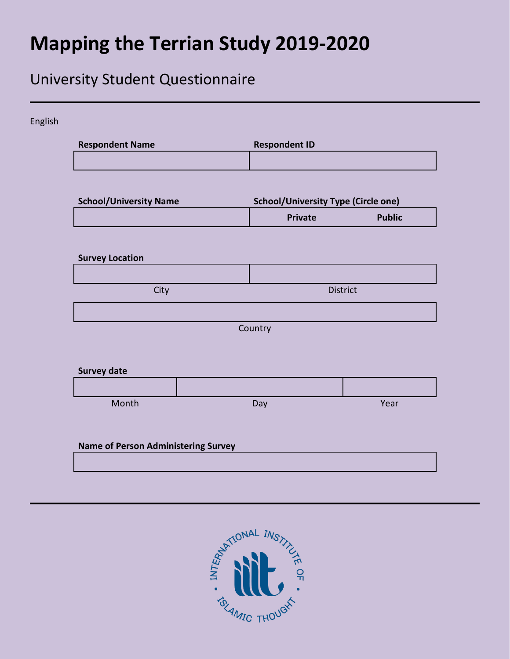## **Mapping the Terrian Study 2019-2020**

## University Student Questionnaire

| <b>Respondent Name</b>        | <b>Respondent ID</b>                       |               |
|-------------------------------|--------------------------------------------|---------------|
| <b>School/University Name</b> | <b>School/University Type (Circle one)</b> |               |
|                               | <b>Private</b>                             | <b>Public</b> |
| <b>Survey Location</b>        |                                            |               |
| City                          |                                            | District      |
| <b>Survey date</b>            | Country                                    |               |
|                               |                                            |               |
|                               |                                            |               |

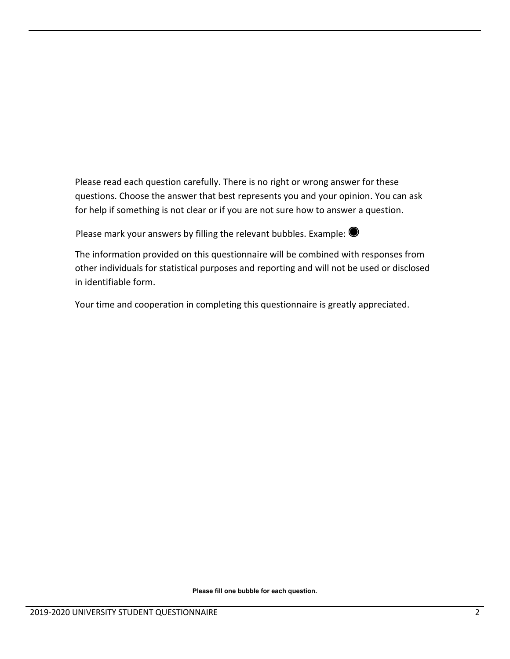Please read each question carefully. There is no right or wrong answer for these questions. Choose the answer that best represents you and your opinion. You can ask for help if something is not clear or if you are not sure how to answer a question.

Please mark your answers by filling the relevant bubbles. Example:  $\bullet$ 

The information provided on this questionnaire will be combined with responses from other individuals for statistical purposes and reporting and will not be used or disclosed in identifiable form.

Your time and cooperation in completing this questionnaire is greatly appreciated.

**Please fill one bubble for each question.**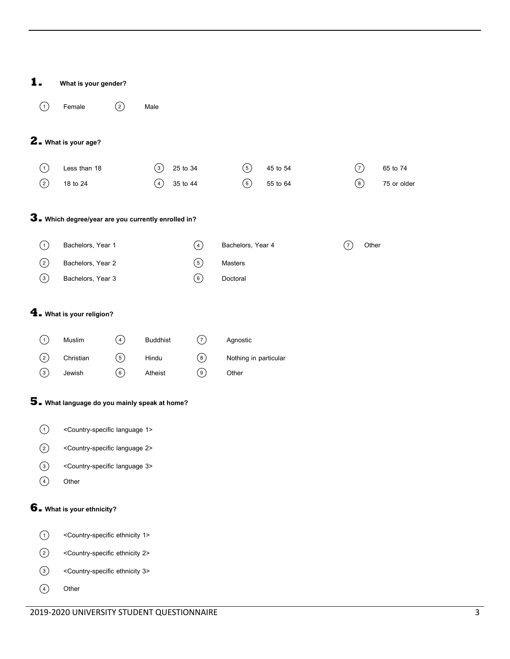| 1.                | What is your gender?                                       |                |                  |                |                       |          |   |             |             |  |
|-------------------|------------------------------------------------------------|----------------|------------------|----------------|-----------------------|----------|---|-------------|-------------|--|
| (1)               | Female                                                     | ②              | Male             |                |                       |          |   |             |             |  |
|                   |                                                            |                |                  |                |                       |          |   |             |             |  |
|                   | 2. What is your age?                                       |                |                  |                |                       |          |   |             |             |  |
| (1)               | Less than 18                                               |                | $\left(3\right)$ | 25 to 34       | $\circledS$           | 45 to 54 |   | 7           | 65 to 74    |  |
| ☺                 | 18 to 24                                                   |                | (4)              | 35 to 44       | $\circledcirc$        | 55 to 64 |   | $\circledS$ | 75 or older |  |
|                   |                                                            |                |                  |                |                       |          |   |             |             |  |
|                   | 3. Which degree/year are you currently enrolled in?        |                |                  |                |                       |          |   |             |             |  |
| (1)               | Bachelors, Year 1                                          |                |                  | $\bigcirc$     | Bachelors, Year 4     |          | 7 | Other       |             |  |
| $\circled{2}$     | Bachelors, Year 2                                          |                |                  | $\odot$        | Masters               |          |   |             |             |  |
| $\odot$           | Bachelors, Year 3                                          |                |                  | $\circledcirc$ | Doctoral              |          |   |             |             |  |
|                   |                                                            |                |                  |                |                       |          |   |             |             |  |
|                   | $\mathbf 4$ . What is your religion?                       |                |                  |                |                       |          |   |             |             |  |
|                   |                                                            |                |                  |                |                       |          |   |             |             |  |
| (1)               | Muslim                                                     | $\bigcirc$     | <b>Buddhist</b>  | $\odot$        | Agnostic              |          |   |             |             |  |
| $\circled{2}$     | Christian                                                  | $\circledcirc$ | Hindu            | $\circledS$    | Nothing in particular |          |   |             |             |  |
| $\odot$           | Jewish                                                     | $\circledcirc$ | Atheist          | $\odot$        | Other                 |          |   |             |             |  |
|                   | 5. What language do you mainly speak at home?              |                |                  |                |                       |          |   |             |             |  |
|                   |                                                            |                |                  |                |                       |          |   |             |             |  |
|                   | (1) <country-specific 1="" language=""></country-specific> |                |                  |                |                       |          |   |             |             |  |
| ②                 | <country-specific 2="" language=""></country-specific>     |                |                  |                |                       |          |   |             |             |  |
| $\odot$           | <country-specific 3="" language=""></country-specific>     |                |                  |                |                       |          |   |             |             |  |
| $\bigcirc$        | Other                                                      |                |                  |                |                       |          |   |             |             |  |
|                   | 6. What is your ethnicity?                                 |                |                  |                |                       |          |   |             |             |  |
|                   | <country-specific 1="" ethnicity=""></country-specific>    |                |                  |                |                       |          |   |             |             |  |
| $\left( 1\right)$ | <country-specific 2="" ethnicity=""></country-specific>    |                |                  |                |                       |          |   |             |             |  |
| ②                 |                                                            |                |                  |                |                       |          |   |             |             |  |
| $\odot$           | <country-specific 3="" ethnicity=""></country-specific>    |                |                  |                |                       |          |   |             |             |  |
| $\bigcirc$        | Other                                                      |                |                  |                |                       |          |   |             |             |  |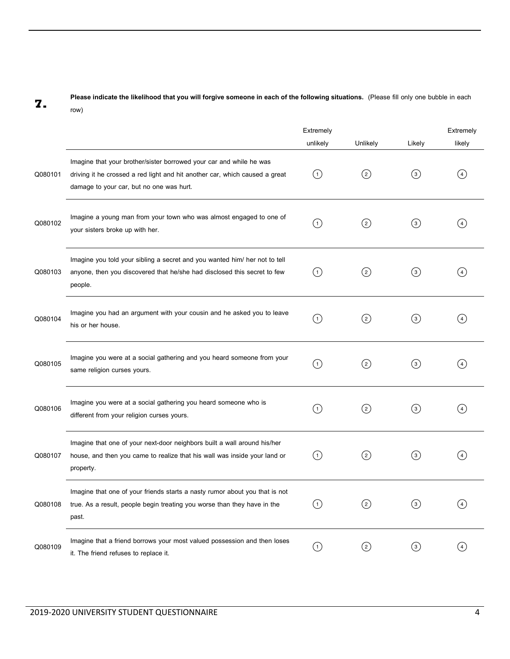## **7. Please indicate the likelihood that you will forgive someone in each of the following situations.** (Please fill only one bubble in each row)

|         |                                                                                                                                                                                                | Extremely<br>unlikely | Unlikely      | Likely            | Extremely<br>likely    |
|---------|------------------------------------------------------------------------------------------------------------------------------------------------------------------------------------------------|-----------------------|---------------|-------------------|------------------------|
| Q080101 | Imagine that your brother/sister borrowed your car and while he was<br>driving it he crossed a red light and hit another car, which caused a great<br>damage to your car, but no one was hurt. | (1)                   | $\circled{c}$ | $\circled{3}$     | (4)                    |
| Q080102 | Imagine a young man from your town who was almost engaged to one of<br>your sisters broke up with her.                                                                                         | (1)                   | $\rm _{(2)}$  | $\left( 3\right)$ | $\left 4\right\rangle$ |
| Q080103 | Imagine you told your sibling a secret and you wanted him/ her not to tell<br>anyone, then you discovered that he/she had disclosed this secret to few<br>people.                              | (1)                   | $\rm _{(2)}$  | $\circled{3}$     | $\left( 4\right)$      |
| Q080104 | Imagine you had an argument with your cousin and he asked you to leave<br>his or her house.                                                                                                    | (1)                   | $\rm _{(2)}$  | $\left( 3\right)$ | $\overline{4}$         |
| Q080105 | Imagine you were at a social gathering and you heard someone from your<br>same religion curses yours.                                                                                          | (1)                   | ②             | ⊚                 | (4)                    |
| Q080106 | Imagine you were at a social gathering you heard someone who is<br>different from your religion curses yours.                                                                                  | (1)                   | $\rm _{(2)}$  | $\left( 3\right)$ | $\left( 4 \right)$     |
| Q080107 | Imagine that one of your next-door neighbors built a wall around his/her<br>house, and then you came to realize that his wall was inside your land or<br>property.                             | (1)                   | $\rm _{(2)}$  | $\rm (3)$         | 4                      |
| Q080108 | Imagine that one of your friends starts a nasty rumor about you that is not<br>true. As a result, people begin treating you worse than they have in the<br>past.                               | O                     | $\rm (2)$     | $\circled{3}$     | $\left( 4\right)$      |
| Q080109 | Imagine that a friend borrows your most valued possession and then loses<br>it. The friend refuses to replace it.                                                                              | $\bigcirc$            | $\circled{2}$ | $\odot$           | (4)                    |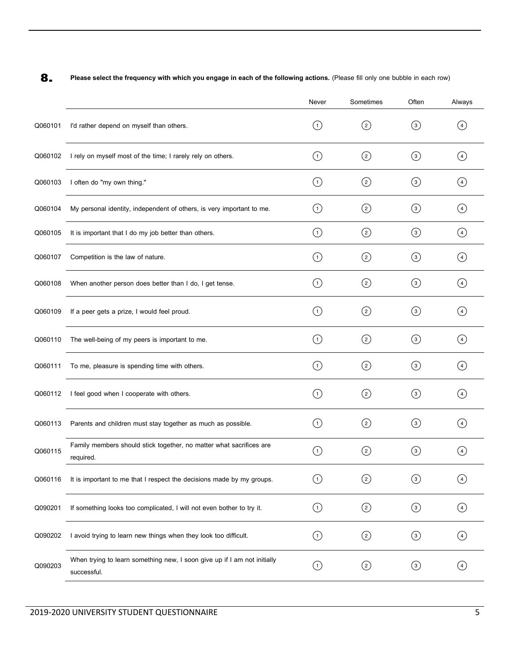**8. Please select the frequency with which you engage in each of the following actions.** (Please fill only one bubble in each row)

|         |                                                                                         | Never              | Sometimes         | Often            | Always            |
|---------|-----------------------------------------------------------------------------------------|--------------------|-------------------|------------------|-------------------|
| Q060101 | I'd rather depend on myself than others.                                                | (1)                | $\left( 2\right)$ | $\circled{3}$    | (4)               |
| Q060102 | I rely on myself most of the time; I rarely rely on others.                             | (1)                | $\circled{c}$     | $\left(3\right)$ | (4)               |
| Q060103 | I often do "my own thing."                                                              | (1)                | ②                 | $\circled{3}$    | (4)               |
| Q060104 | My personal identity, independent of others, is very important to me.                   | (1)                | $\rm _{(2)}$      | $\circled{3}$    | (4)               |
| Q060105 | It is important that I do my job better than others.                                    | $\circlearrowleft$ |                   | $\odot$          | $\circled{4}$     |
| Q060107 | Competition is the law of nature.                                                       | (1)                | $\rm _{(2)}$      | $\circled{3}$    | (4)               |
| Q060108 | When another person does better than I do, I get tense.                                 | $\left( 1\right)$  | $\circled{c}$     | $\circled{3}$    | (4)               |
| Q060109 | If a peer gets a prize, I would feel proud.                                             | (1)                | $\rm _{(2)}$      | $\odot$          | (4)               |
| Q060110 | The well-being of my peers is important to me.                                          | (1)                | $\circled{c}$     | $\circled{3}$    | (4)               |
| Q060111 | To me, pleasure is spending time with others.                                           | (1)                | $\rm _{(2)}$      | (3)              | (4)               |
| Q060112 | I feel good when I cooperate with others.                                               | (1)                | $\left( 2\right)$ | $\left(3\right)$ | (4)               |
| Q060113 | Parents and children must stay together as much as possible.                            | 〔1〕                | ②                 | $\odot$          | (4)               |
| Q060115 | Family members should stick together, no matter what sacrifices are<br>required.        | $\left(1\right)$   | $\rm(2)$          | $\rm (3)$        | $\overline{4}$    |
| Q060116 | It is important to me that I respect the decisions made by my groups.                   | (1)                | $\rm _{(2)}$      | (3)              | $\left(4\right)$  |
| Q090201 | If something looks too complicated, I will not even bother to try it.                   | $\circled{1}$      | ☺                 | $\odot$          | $\circled{4}$     |
| Q090202 | I avoid trying to learn new things when they look too difficult.                        | $\left( 1\right)$  | ☺                 | $\odot$          | $\left( 4\right)$ |
| Q090203 | When trying to learn something new, I soon give up if I am not initially<br>successful. | (1)                |                   | $\odot$          | (4)               |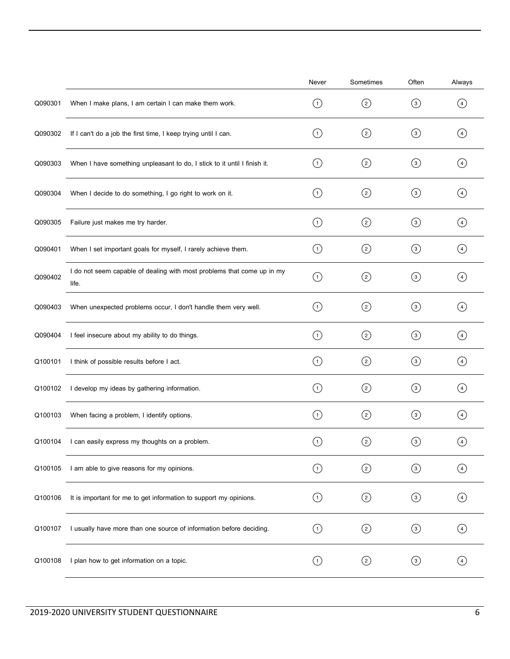|         |                                                                                 | Never                  | Sometimes     | Often            | Always            |
|---------|---------------------------------------------------------------------------------|------------------------|---------------|------------------|-------------------|
| Q090301 | When I make plans, I am certain I can make them work.                           | (1)                    | $\circled{2}$ | $\circled{3}$    | (4)               |
| Q090302 | If I can't do a job the first time, I keep trying until I can.                  | $\left( 1\right)$      | $\circled{2}$ | $\circled{3}$    | $\left( 4\right)$ |
| Q090303 | When I have something unpleasant to do, I stick to it until I finish it.        | (1)                    | $\circled{2}$ | $\circled{3}$    | $\left( 4\right)$ |
| Q090304 | When I decide to do something, I go right to work on it.                        | $\left( 1\right)$      | $\circled{2}$ | $\circled{3}$    | $\left( 4\right)$ |
| Q090305 | Failure just makes me try harder.                                               | $\left( 1\right)$      | $\circled{2}$ | $\odot$          | (4)               |
| Q090401 | When I set important goals for myself, I rarely achieve them.                   | $\circled{1}$          | ⓒ             | $\odot$          | $\left( 4\right)$ |
| Q090402 | I do not seem capable of dealing with most problems that come up in my<br>life. | $\circled{1}$          | $\circled{c}$ | $\odot$          | (4)               |
| Q090403 | When unexpected problems occur, I don't handle them very well.                  | $\left( 1\right)$      | $\circled{c}$ | $\odot$          | $\left( 4\right)$ |
| Q090404 | I feel insecure about my ability to do things.                                  | $\circled{1}$          | $\circled{c}$ | $\odot$          | $\circled{4}$     |
| Q100101 | I think of possible results before I act.                                       | $\left( 1\right)$      | $\circled{2}$ | $\circled{3}$    | $\left( 4\right)$ |
| Q100102 | I develop my ideas by gathering information.                                    | $\circled{1}$          | ⓒ             | $\odot$          | (4)               |
| Q100103 | When facing a problem, I identify options.                                      | $\left( 1\right)$      | $\circled{c}$ | $\circled{3}$    | $\left( 4\right)$ |
| Q100104 | I can easily express my thoughts on a problem.                                  | $\left  \cdot \right $ | $\binom{2}{}$ | $\left(3\right)$ | (4)               |
| Q100105 | I am able to give reasons for my opinions.                                      | $\odot$                | $\odot$       | $\odot$          | $\circled{4}$     |
| Q100106 | It is important for me to get information to support my opinions.               | $\odot$                | $\odot$       | $\odot$          | $\circled{4}$     |
| Q100107 | I usually have more than one source of information before deciding.             | $\odot$                | $\odot$       | $\odot$          | $\left( 4\right)$ |
| Q100108 | I plan how to get information on a topic.                                       | $\left( 1\right)$      | $\circled{c}$ | $\odot$          | (4)               |
|         |                                                                                 |                        |               |                  |                   |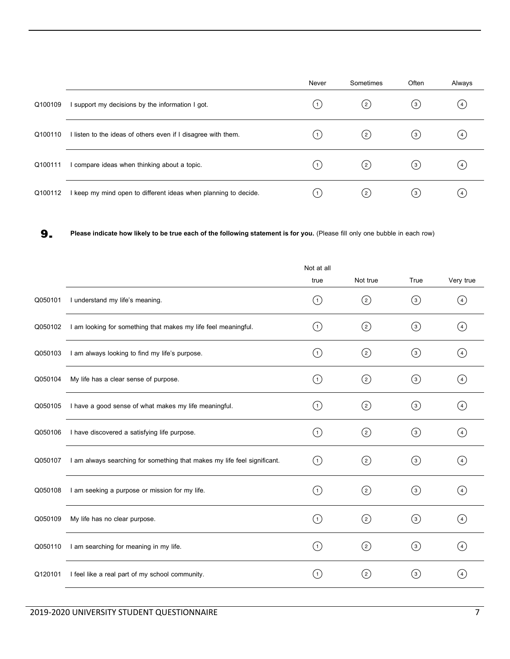|         |                                                               | Never            | Sometimes | Often        | Always             |
|---------|---------------------------------------------------------------|------------------|-----------|--------------|--------------------|
| Q100109 | support my decisions by the information I got.                | $\left(1\right)$ | (2)       | (з)          | (4)                |
| Q100110 | I listen to the ideas of others even if I disagree with them. | $\left(1\right)$ | (2)       | (з)          | $\left( 4 \right)$ |
| Q100111 | compare ideas when thinking about a topic.                    | 1)               | (2)       | (з)          | (4)                |
| Q100112 | keep my mind open to different ideas when planning to decide. | $\vert 1 \vert$  | (2)       | $^{\rm (3)}$ | (4)                |

**9. Please indicate how likelyto be true each of the following statement is for you.** (Please fill only one bubble in each row)

|         |                                                                          | Not at all        |                   |                  |                   |
|---------|--------------------------------------------------------------------------|-------------------|-------------------|------------------|-------------------|
|         |                                                                          | true              | Not true          | True             | Very true         |
| Q050101 | I understand my life's meaning.                                          | $\left( 1\right)$ | $\left( 2\right)$ | $\odot$          | (4)               |
| Q050102 | I am looking for something that makes my life feel meaningful.           | (1)               | (2)               | $\circled{3}$    | (4)               |
| Q050103 | I am always looking to find my life's purpose.                           | (1)               | $\circled{c}$     | $\left(3\right)$ | (4)               |
| Q050104 | My life has a clear sense of purpose.                                    | (1)               | (2)               | (3)              | (4)               |
| Q050105 | I have a good sense of what makes my life meaningful.                    | (1)               | (2)               | (3)              | (4)               |
| Q050106 | I have discovered a satisfying life purpose.                             | (1)               | $\left( 2\right)$ | (3)              | $\binom{4}{ }$    |
| Q050107 | I am always searching for something that makes my life feel significant. | (1)               | $\left( 2\right)$ | ③                | (4)               |
| Q050108 | I am seeking a purpose or mission for my life.                           | (1)               | ②                 | ③                | (4)               |
| Q050109 | My life has no clear purpose.                                            | (1)               | (2)               | (3)              | (4)               |
| Q050110 | I am searching for meaning in my life.                                   | (1)               | ②                 | $\odot$          | (4)               |
| Q120101 | I feel like a real part of my school community.                          | (1)               | $(^{2})$          | $\left(3\right)$ | $\left( 4\right)$ |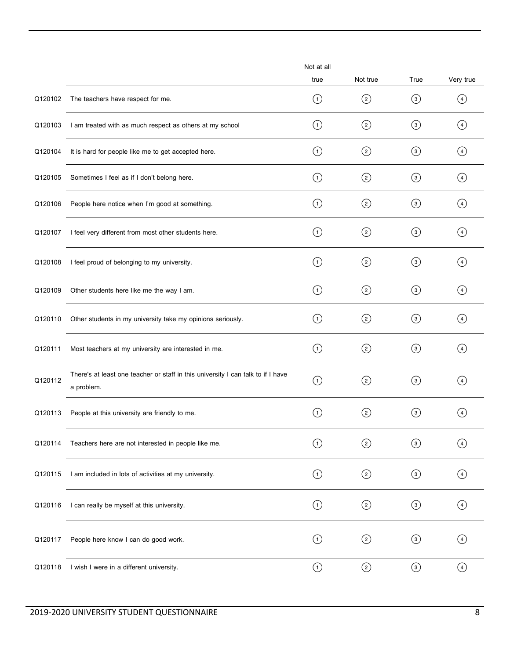|         |                                                                                                | Not at all<br>true | Not true      | True              | Very true         |
|---------|------------------------------------------------------------------------------------------------|--------------------|---------------|-------------------|-------------------|
| Q120102 | The teachers have respect for me.                                                              | (1)                | $\circled{2}$ | $\circled{3}$     | (4)               |
| Q120103 | I am treated with as much respect as others at my school                                       | (1)                | $\circled{2}$ | $\circled{3}$     | $\left( 4\right)$ |
| Q120104 | It is hard for people like me to get accepted here.                                            | $\left( 1\right)$  | ②             | $\odot$           | $\left( 4\right)$ |
| Q120105 | Sometimes I feel as if I don't belong here.                                                    | (1)                | $\circled{2}$ | $\circled{3}$     | $\left( 4\right)$ |
| Q120106 | People here notice when I'm good at something.                                                 | $\left( 1\right)$  | $\circled{c}$ | $\odot$           | $\left( 4\right)$ |
| Q120107 | I feel very different from most other students here.                                           | (1)                | $\circled{c}$ | $\odot$           | $\left( 4\right)$ |
| Q120108 | I feel proud of belonging to my university.                                                    | (1)                | ②             | $\circled{3}$     | $\left( 4\right)$ |
| Q120109 | Other students here like me the way I am.                                                      | $\circled{1}$      | $\odot$       | $\odot$           | $\left( 4\right)$ |
| Q120110 | Other students in my university take my opinions seriously.                                    | (1)                | $\circled{2}$ | $\circled{3}$     | (4)               |
| Q120111 | Most teachers at my university are interested in me.                                           | $\left( 1\right)$  | $\circled{2}$ | $\circled{3}$     | (4)               |
| Q120112 | There's at least one teacher or staff in this university I can talk to if I have<br>a problem. | $\circled{1}$      | $\circled{2}$ | $\circled{3}$     | (4)               |
| Q120113 | People at this university are friendly to me.                                                  | (1)                | $\circled{2}$ | (3)               | (4)               |
| Q120114 | Teachers here are not interested in people like me.                                            | (1)                | ⓒ             | $\left( 3\right)$ | $\left( 4\right)$ |
| Q120115 | I am included in lots of activities at my university.                                          | $\left( 1\right)$  | $\circled{2}$ | $\odot$           | $\left(4\right)$  |
| Q120116 | I can really be myself at this university.                                                     | $\odot$            | ☺             | $\odot$           | ④                 |
| Q120117 | People here know I can do good work.                                                           | $\left( 1\right)$  | $\circled{c}$ | $\odot$           | $\left( 4\right)$ |
| Q120118 | I wish I were in a different university.                                                       | $\bigodot$         | $\odot$       | $\odot$           | $\bigcirc$        |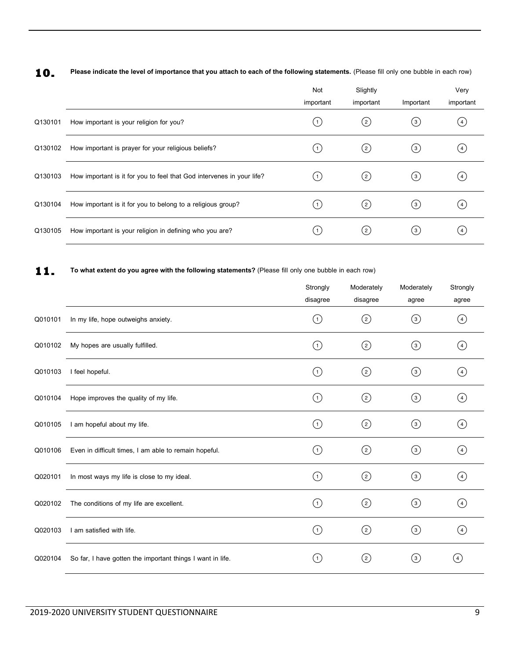10. Please indicate the level of importance that you attach to each of the following statements. (Please fill only one bubble in each row)

|         |                                                                       | Not<br>important | Slightly<br>important | Important         | Very<br>important        |
|---------|-----------------------------------------------------------------------|------------------|-----------------------|-------------------|--------------------------|
| Q130101 | How important is your religion for you?                               | (1)              | (2)                   | $\left( 3\right)$ | (4)                      |
| Q130102 | How important is prayer for your religious beliefs?                   | (1)              | $(^{2})$              | $^{\rm (3)}$      | $\left(4\right)$         |
| Q130103 | How important is it for you to feel that God intervenes in your life? | (1)              | $(^{2})$              | $\binom{3}{}$     | (4)                      |
| Q130104 | How important is it for you to belong to a religious group?           | (1)              | $\rm (2)$             | $\circled{3}$     | (4)                      |
| Q130105 | How important is your religion in defining who you are?               |                  | $(^{2})$              | (3)               | $\left  4 \right\rangle$ |

11. To what extent do you agree with the following statements? (Please fill only one bubble in each row)

|         |                                                            | Strongly<br>disagree | Moderately<br>disagree | Moderately<br>agree | Strongly<br>agree  |
|---------|------------------------------------------------------------|----------------------|------------------------|---------------------|--------------------|
| Q010101 | In my life, hope outweighs anxiety.                        | (1)                  | ②                      | $\left(3\right)$    | (4)                |
| Q010102 | My hopes are usually fulfilled.                            | (1)                  |                        | $\circled{3}$       | (4)                |
| Q010103 | I feel hopeful.                                            | (1)                  | $\circled{c}$          | (3)                 | (4)                |
| Q010104 | Hope improves the quality of my life.                      | (1)                  | $\circled{c}$          | $\left(3\right)$    | (4)                |
| Q010105 | I am hopeful about my life.                                | $\left( 1\right)$    | ⓒ                      | $\odot$             | $\left( 4\right)$  |
| Q010106 | Even in difficult times, I am able to remain hopeful.      | (1)                  | $\left( 2\right)$      | $\left( 3\right)$   | (4)                |
| Q020101 | In most ways my life is close to my ideal.                 | (1)                  | $\circled{c}$          | $\left(3\right)$    | (4)                |
| Q020102 | The conditions of my life are excellent.                   | (1)                  | ②                      | (3)                 | (4)                |
| Q020103 | I am satisfied with life.                                  | (1)                  | $\circled{c}$          | $\rm (3)$           | $\left( 4 \right)$ |
| Q020104 | So far, I have gotten the important things I want in life. | $\mathbf{1}$         | (2)                    | $^{\rm (3)}$        | $\left( 4 \right)$ |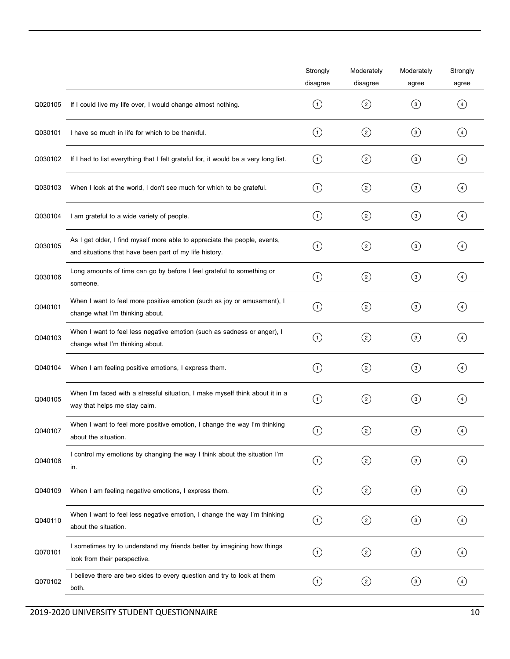|         |                                                                                                                                     | Strongly<br>disagree | Moderately<br>disagree | Moderately<br>agree | Strongly<br>agree |
|---------|-------------------------------------------------------------------------------------------------------------------------------------|----------------------|------------------------|---------------------|-------------------|
| Q020105 | If I could live my life over, I would change almost nothing.                                                                        | (1)                  |                        | $\circled{3}$       | $\left( 4\right)$ |
| Q030101 | I have so much in life for which to be thankful.                                                                                    | $\left( 1\right)$    | $\circled{c}$          | $\circled{3}$       | (4)               |
| Q030102 | If I had to list everything that I felt grateful for, it would be a very long list.                                                 | $\left( 1\right)$    |                        | $\circled{3}$       | $\left( 4\right)$ |
| Q030103 | When I look at the world, I don't see much for which to be grateful.                                                                | (1)                  |                        | $\circled{3}$       | (4)               |
| Q030104 | I am grateful to a wide variety of people.                                                                                          | $\left( 1\right)$    | ⓒ                      | $\odot$             | $\left( 4\right)$ |
| Q030105 | As I get older, I find myself more able to appreciate the people, events,<br>and situations that have been part of my life history. | $\circled{1}$        | ⓒ                      | $\odot$             | $\left( 4\right)$ |
| Q030106 | Long amounts of time can go by before I feel grateful to something or<br>someone.                                                   | $\left( 1\right)$    | $\circled{c}$          | $\left(3\right)$    | $\left( 4\right)$ |
| Q040101 | When I want to feel more positive emotion (such as joy or amusement), I<br>change what I'm thinking about.                          | $\circled{1}$        | $\circled{c}$          | $\left(3\right)$    | $\left( 4\right)$ |
| Q040103 | When I want to feel less negative emotion (such as sadness or anger), I<br>change what I'm thinking about.                          | (1)                  | $\circled{c}$          | $\circled{3}$       | (4)               |
| Q040104 | When I am feeling positive emotions, I express them.                                                                                | (1)                  | $\circled{c}$          | $\circled{3}$       | (4)               |
| Q040105 | When I'm faced with a stressful situation, I make myself think about it in a<br>way that helps me stay calm.                        | (1)                  |                        | $\left(3\right)$    | (4)               |
| Q040107 | When I want to feel more positive emotion, I change the way I'm thinking<br>about the situation.                                    | $\left( 1\right)$    | (2)                    | $\circled{3}$       | (4)               |
| Q040108 | I control my emotions by changing the way I think about the situation I'm<br>in.                                                    | $\circled{1}$        | ②                      | $\odot$             | $\left( 4\right)$ |
| Q040109 | When I am feeling negative emotions, I express them.                                                                                | $\left( 1\right)$    | ②                      | $\odot$             | $\left( 4\right)$ |
| Q040110 | When I want to feel less negative emotion, I change the way I'm thinking<br>about the situation.                                    | $\odot$              | ☺                      | $\odot$             | $\circled{4}$     |
| Q070101 | I sometimes try to understand my friends better by imagining how things<br>look from their perspective.                             | (1)                  |                        | $\circled{3}$       | (4)               |
| Q070102 | I believe there are two sides to every question and try to look at them<br>both.                                                    | $\odot$              | ②                      | $\odot$             | $\circled{4}$     |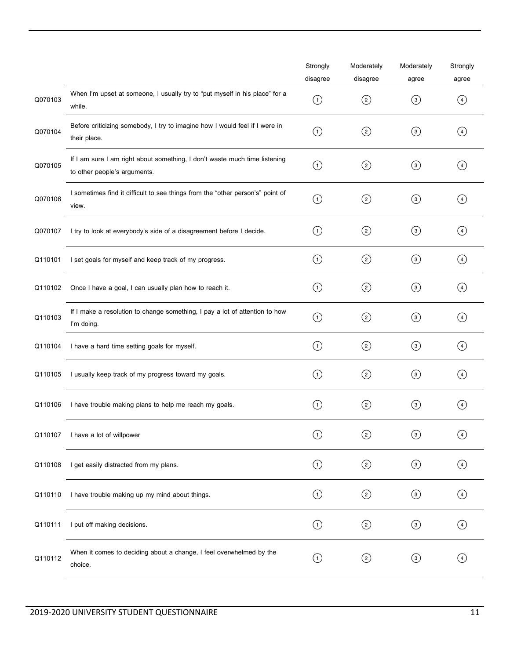|         |                                                                                                            | Strongly<br>disagree | Moderately<br>disagree | Moderately<br>agree | Strongly<br>agree |
|---------|------------------------------------------------------------------------------------------------------------|----------------------|------------------------|---------------------|-------------------|
| Q070103 | When I'm upset at someone, I usually try to "put myself in his place" for a<br>while.                      | $\circled{1}$        |                        | $\odot$             | $\left( 4\right)$ |
| Q070104 | Before criticizing somebody, I try to imagine how I would feel if I were in<br>their place.                | $\left( 1\right)$    | $\circled{c}$          | $\circled{3}$       | (4)               |
| Q070105 | If I am sure I am right about something, I don't waste much time listening<br>to other people's arguments. | (1)                  | $\circled{c}$          | $\circled{3}$       | (4)               |
| Q070106 | I sometimes find it difficult to see things from the "other person's" point of<br>view.                    | ⊙                    | ⓒ                      | $\odot$             | (4)               |
| Q070107 | I try to look at everybody's side of a disagreement before I decide.                                       | $\left( 1\right)$    | $\circled{c}$          | $\odot$             | $\left( 4\right)$ |
| Q110101 | I set goals for myself and keep track of my progress.                                                      | $\left( 1\right)$    | ⓒ                      | $\odot$             | $\left( 4\right)$ |
| Q110102 | Once I have a goal, I can usually plan how to reach it.                                                    | (1)                  |                        | $\odot$             | (4)               |
| Q110103 | If I make a resolution to change something, I pay a lot of attention to how<br>I'm doing.                  | $\left( 1\right)$    | ⓒ                      | $\odot$             | (4)               |
| Q110104 | I have a hard time setting goals for myself.                                                               | $\left( 1\right)$    | $\circled{2}$          | $\circled{3}$       | $\left( 4\right)$ |
| Q110105 | I usually keep track of my progress toward my goals.                                                       | (1)                  | $\circled{c}$          | $\left( 3\right)$   | (4)               |
| Q110106 | I have trouble making plans to help me reach my goals.                                                     | 〔1〕                  | $\circled{c}$          | $\circled{3}$       | (4)               |
| Q110107 | I have a lot of willpower                                                                                  | $\bigcirc$           | $\rm _{(2)}$           | $\circled{3}$       | $\circled{4}$     |
| Q110108 | I get easily distracted from my plans.                                                                     | $\odot$              | ⓒ                      | $\odot$             | $\bigcirc$        |
| Q110110 | I have trouble making up my mind about things.                                                             | $\odot$              | ⓒ                      | $\odot$             | $\bigcirc$        |
| Q110111 | I put off making decisions.                                                                                | $\odot$              | ⓒ                      | $\odot$             | $\bigcirc$        |
| Q110112 | When it comes to deciding about a change, I feel overwhelmed by the<br>choice.                             | $\odot$              | $\circled{c}$          | $\odot$             | $\left( 4\right)$ |